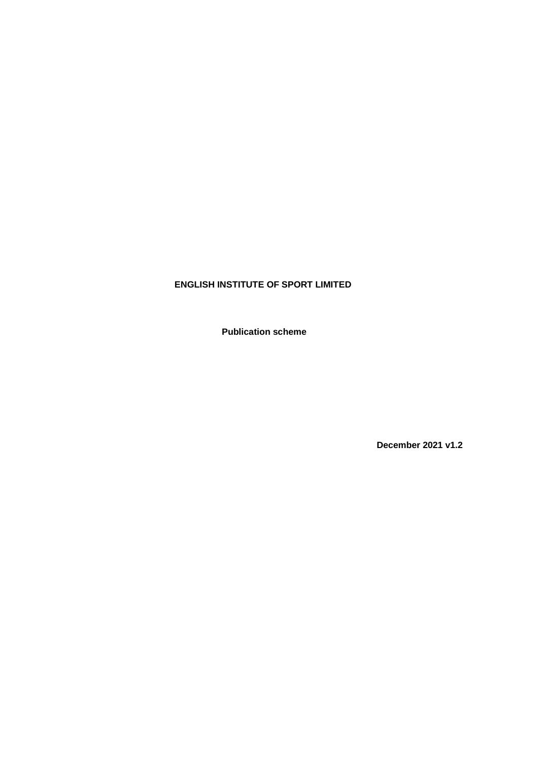# **ENGLISH INSTITUTE OF SPORT LIMITED**

**Publication scheme**

**December 2021 v1.2**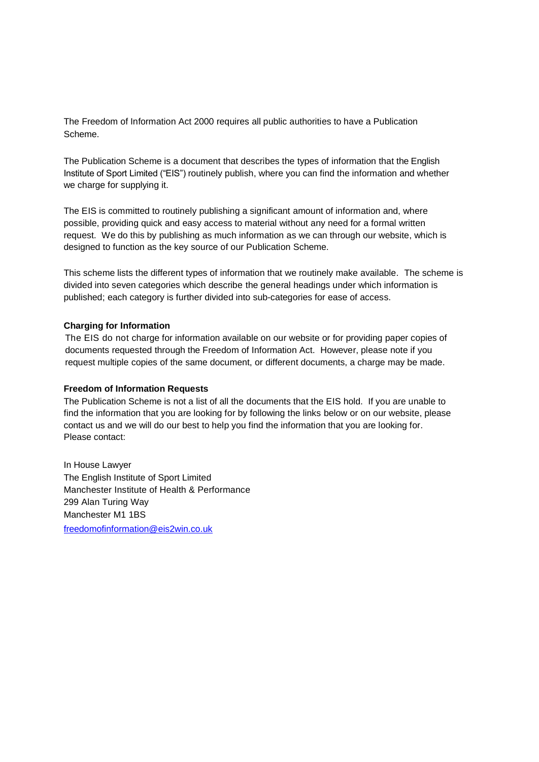The Freedom of Information Act 2000 requires all public authorities to have a Publication Scheme.

The Publication Scheme is a document that describes the types of information that the English Institute of Sport Limited ("EIS") routinely publish, where you can find the information and whether we charge for supplying it.

The EIS is committed to routinely publishing a significant amount of information and, where possible, providing quick and easy access to material without any need for a formal written request. We do this by publishing as much information as we can through our website, which is designed to function as the key source of our Publication Scheme.

This scheme lists the different types of information that we routinely make available. The scheme is divided into seven categories which describe the general headings under which information is published; each category is further divided into sub-categories for ease of access.

### **Charging for Information**

The EIS do not charge for information available on our website or for providing paper copies of documents requested through the Freedom of Information Act. However, please note if you request multiple copies of the same document, or different documents, a charge may be made.

#### **Freedom of Information Requests**

The Publication Scheme is not a list of all the documents that the EIS hold. If you are unable to find the information that you are looking for by following the links below or on our website, please contact us and we will do our best to help you find the information that you are looking for. Please contact:

In House Lawyer The English Institute of Sport Limited Manchester Institute of Health & Performance 299 Alan Turing Way Manchester M1 1BS [freedomofinformation@eis2win.co.uk](mailto:freedomofinformation@eis2win.co.uk)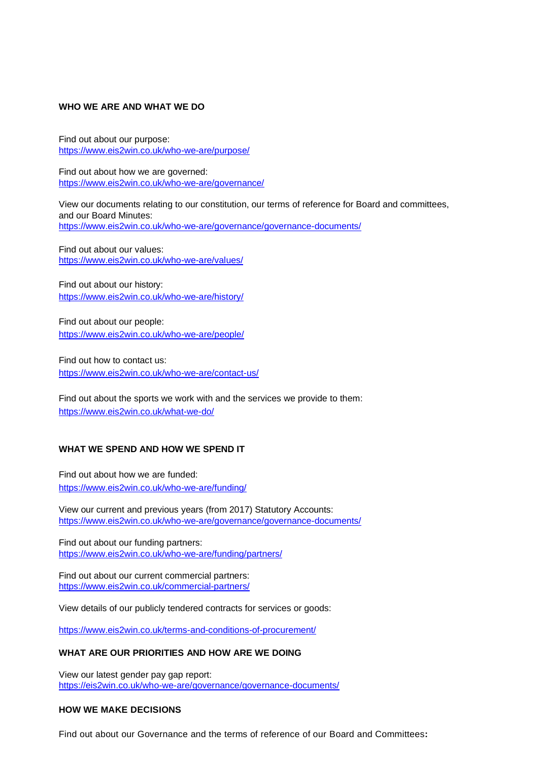# **WHO WE ARE AND WHAT WE DO**

Find out about our purpose: <https://www.eis2win.co.uk/who-we-are/purpose/>

Find out about how we are governed: <https://www.eis2win.co.uk/who-we-are/governance/>

View our documents relating to our constitution, our terms of reference for Board and committees, and our Board Minutes: <https://www.eis2win.co.uk/who-we-are/governance/governance-documents/>

Find out about our values: <https://www.eis2win.co.uk/who-we-are/values/>

Find out about our history: <https://www.eis2win.co.uk/who-we-are/history/>

Find out about our people: <https://www.eis2win.co.uk/who-we-are/people/>

Find out how to contact us: <https://www.eis2win.co.uk/who-we-are/contact-us/>

Find out about the sports we work with and the services we provide to them: <https://www.eis2win.co.uk/what-we-do/>

#### **WHAT WE SPEND AND HOW WE SPEND IT**

Find out about how we are funded: <https://www.eis2win.co.uk/who-we-are/funding/>

View our current and previous years (from 2017) Statutory Accounts: <https://www.eis2win.co.uk/who-we-are/governance/governance-documents/>

Find out about our funding partners: <https://www.eis2win.co.uk/who-we-are/funding/partners/>

Find out about our current commercial partners: <https://www.eis2win.co.uk/commercial-partners/>

View details of our publicly tendered contracts for services or goods:

<https://www.eis2win.co.uk/terms-and-conditions-of-procurement/>

#### **WHAT ARE OUR PRIORITIES AND HOW ARE WE DOING**

View our latest gender pay gap report: <https://eis2win.co.uk/who-we-are/governance/governance-documents/>

# **HOW WE MAKE DECISIONS**

Find out about our Governance and the terms of reference of our Board and Committees**:**